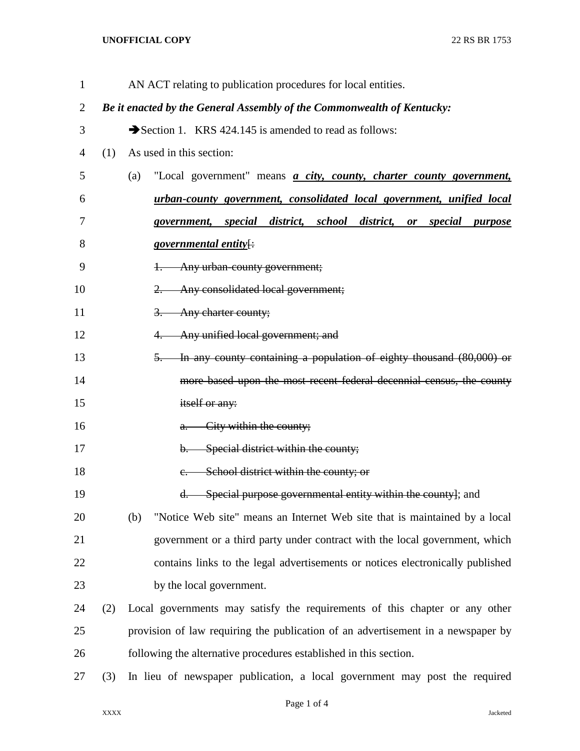## **UNOFFICIAL COPY** 22 RS BR 1753

| $\mathbf{1}$ | AN ACT relating to publication procedures for local entities.          |                                                                                  |                                                                                             |  |
|--------------|------------------------------------------------------------------------|----------------------------------------------------------------------------------|---------------------------------------------------------------------------------------------|--|
| 2            | Be it enacted by the General Assembly of the Commonwealth of Kentucky: |                                                                                  |                                                                                             |  |
| 3            |                                                                        | Section 1. KRS 424.145 is amended to read as follows:                            |                                                                                             |  |
| 4            | (1)                                                                    | As used in this section:                                                         |                                                                                             |  |
| 5            |                                                                        | (a)                                                                              | "Local government" means <i>a city</i> , <i>county</i> , <i>charter county government</i> , |  |
| 6            |                                                                        |                                                                                  | urban-county government, consolidated local government, unified local                       |  |
| 7            |                                                                        |                                                                                  | government, special district, school district, or special<br><i>purpose</i>                 |  |
| 8            |                                                                        |                                                                                  | <i>governmental entity</i> [:                                                               |  |
| 9            |                                                                        |                                                                                  | Any urban-county government;<br>$+$                                                         |  |
| 10           |                                                                        |                                                                                  | 2. Any consolidated local government;                                                       |  |
| 11           |                                                                        |                                                                                  | 3. Any charter county;                                                                      |  |
| 12           |                                                                        |                                                                                  | Any unified local government; and<br>4.                                                     |  |
| 13           |                                                                        |                                                                                  | 5. In any county containing a population of eighty thousand (80,000) or                     |  |
| 14           |                                                                        |                                                                                  | more based upon the most recent federal decennial census, the county                        |  |
| 15           |                                                                        |                                                                                  | itself or any:                                                                              |  |
| 16           |                                                                        |                                                                                  | a. City within the county;                                                                  |  |
| 17           |                                                                        |                                                                                  | b. Special district within the county;                                                      |  |
| 18           |                                                                        |                                                                                  | School district within the county; or<br>$e_{i}$                                            |  |
| 19           |                                                                        |                                                                                  | d. Special purpose governmental entity within the countyl; and                              |  |
| 20           |                                                                        | (b)                                                                              | "Notice Web site" means an Internet Web site that is maintained by a local                  |  |
| 21           |                                                                        |                                                                                  | government or a third party under contract with the local government, which                 |  |
| 22           |                                                                        |                                                                                  | contains links to the legal advertisements or notices electronically published              |  |
| 23           |                                                                        |                                                                                  | by the local government.                                                                    |  |
| 24           | (2)                                                                    |                                                                                  | Local governments may satisfy the requirements of this chapter or any other                 |  |
| 25           |                                                                        | provision of law requiring the publication of an advertisement in a newspaper by |                                                                                             |  |
| 26           |                                                                        |                                                                                  | following the alternative procedures established in this section.                           |  |
| 27           | (3)                                                                    |                                                                                  | In lieu of newspaper publication, a local government may post the required                  |  |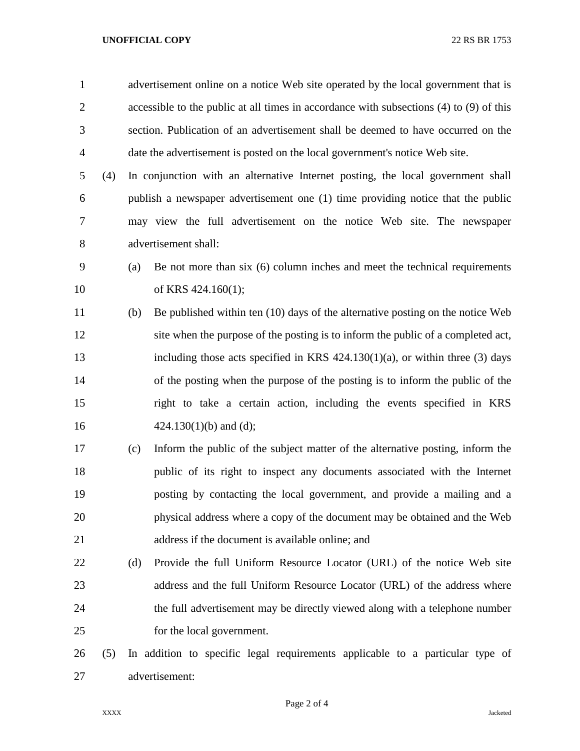## **UNOFFICIAL COPY** 22 RS BR 1753

 advertisement online on a notice Web site operated by the local government that is accessible to the public at all times in accordance with subsections (4) to (9) of this section. Publication of an advertisement shall be deemed to have occurred on the date the advertisement is posted on the local government's notice Web site. (4) In conjunction with an alternative Internet posting, the local government shall publish a newspaper advertisement one (1) time providing notice that the public may view the full advertisement on the notice Web site. The newspaper advertisement shall: (a) Be not more than six (6) column inches and meet the technical requirements 10 of KRS 424.160(1); (b) Be published within ten (10) days of the alternative posting on the notice Web site when the purpose of the posting is to inform the public of a completed act, including those acts specified in KRS 424.130(1)(a), or within three (3) days of the posting when the purpose of the posting is to inform the public of the right to take a certain action, including the events specified in KRS  $424.130(1)(b)$  and (d); (c) Inform the public of the subject matter of the alternative posting, inform the public of its right to inspect any documents associated with the Internet posting by contacting the local government, and provide a mailing and a physical address where a copy of the document may be obtained and the Web address if the document is available online; and (d) Provide the full Uniform Resource Locator (URL) of the notice Web site 23 address and the full Uniform Resource Locator (URL) of the address where the full advertisement may be directly viewed along with a telephone number

for the local government.

 (5) In addition to specific legal requirements applicable to a particular type of advertisement: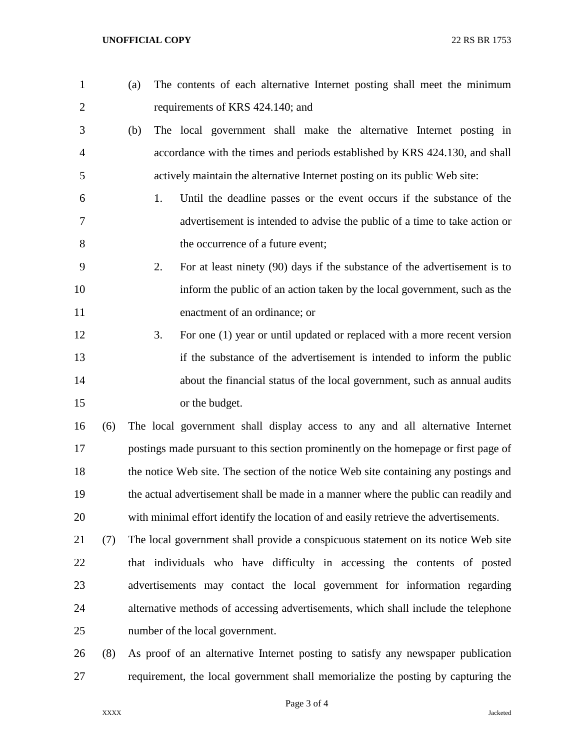- (a) The contents of each alternative Internet posting shall meet the minimum requirements of KRS 424.140; and
- (b) The local government shall make the alternative Internet posting in accordance with the times and periods established by KRS 424.130, and shall actively maintain the alternative Internet posting on its public Web site:
- 1. Until the deadline passes or the event occurs if the substance of the advertisement is intended to advise the public of a time to take action or 8 the occurrence of a future event;
- 2. For at least ninety (90) days if the substance of the advertisement is to inform the public of an action taken by the local government, such as the enactment of an ordinance; or
- 3. For one (1) year or until updated or replaced with a more recent version if the substance of the advertisement is intended to inform the public about the financial status of the local government, such as annual audits or the budget.
- (6) The local government shall display access to any and all alternative Internet postings made pursuant to this section prominently on the homepage or first page of 18 the notice Web site. The section of the notice Web site containing any postings and the actual advertisement shall be made in a manner where the public can readily and with minimal effort identify the location of and easily retrieve the advertisements.
- (7) The local government shall provide a conspicuous statement on its notice Web site that individuals who have difficulty in accessing the contents of posted advertisements may contact the local government for information regarding alternative methods of accessing advertisements, which shall include the telephone number of the local government.
- (8) As proof of an alternative Internet posting to satisfy any newspaper publication requirement, the local government shall memorialize the posting by capturing the